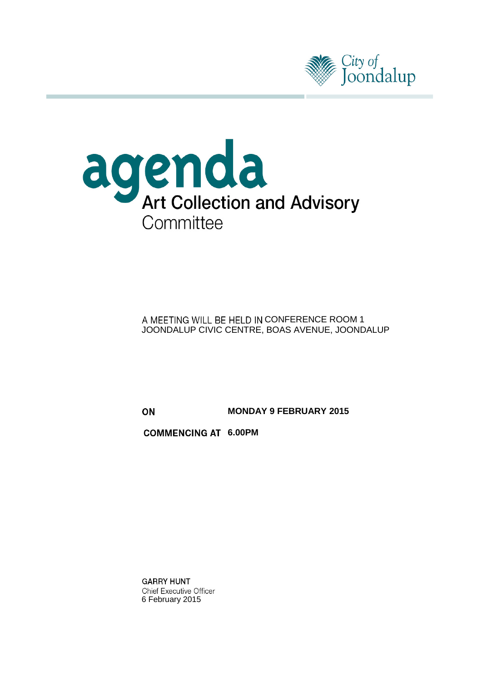



A MEETING WILL BE HELD IN CONFERENCE ROOM 1 JOONDALUP CIVIC CENTRE, BOAS AVENUE, JOONDALUP

**MONDAY 9 FEBRUARY 2015** ON

**COMMENCING AT 6.00PM** 

**GARRY HUNT Chief Executive Officer** 6 February 2015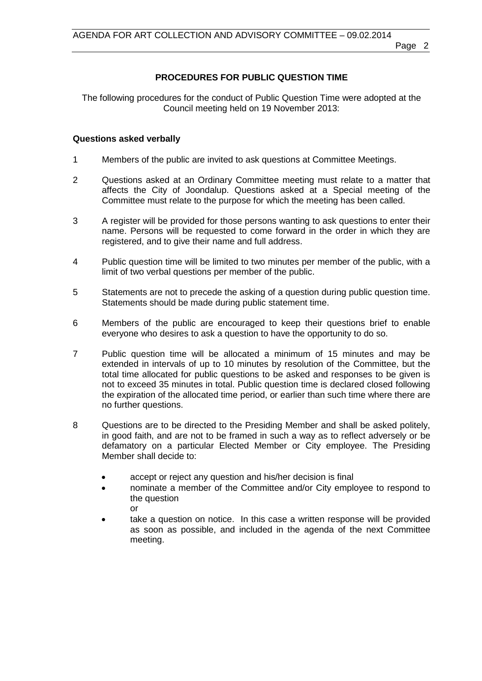# **PROCEDURES FOR PUBLIC QUESTION TIME**

The following procedures for the conduct of Public Question Time were adopted at the Council meeting held on 19 November 2013:

#### **Questions asked verbally**

- 1 Members of the public are invited to ask questions at Committee Meetings.
- 2 Questions asked at an Ordinary Committee meeting must relate to a matter that affects the City of Joondalup. Questions asked at a Special meeting of the Committee must relate to the purpose for which the meeting has been called.
- 3 A register will be provided for those persons wanting to ask questions to enter their name. Persons will be requested to come forward in the order in which they are registered, and to give their name and full address.
- 4 Public question time will be limited to two minutes per member of the public, with a limit of two verbal questions per member of the public.
- 5 Statements are not to precede the asking of a question during public question time. Statements should be made during public statement time.
- 6 Members of the public are encouraged to keep their questions brief to enable everyone who desires to ask a question to have the opportunity to do so.
- 7 Public question time will be allocated a minimum of 15 minutes and may be extended in intervals of up to 10 minutes by resolution of the Committee, but the total time allocated for public questions to be asked and responses to be given is not to exceed 35 minutes in total. Public question time is declared closed following the expiration of the allocated time period, or earlier than such time where there are no further questions.
- 8 Questions are to be directed to the Presiding Member and shall be asked politely, in good faith, and are not to be framed in such a way as to reflect adversely or be defamatory on a particular Elected Member or City employee. The Presiding Member shall decide to:
	- accept or reject any question and his/her decision is final
	- nominate a member of the Committee and/or City employee to respond to the question or
	- take a question on notice. In this case a written response will be provided as soon as possible, and included in the agenda of the next Committee meeting.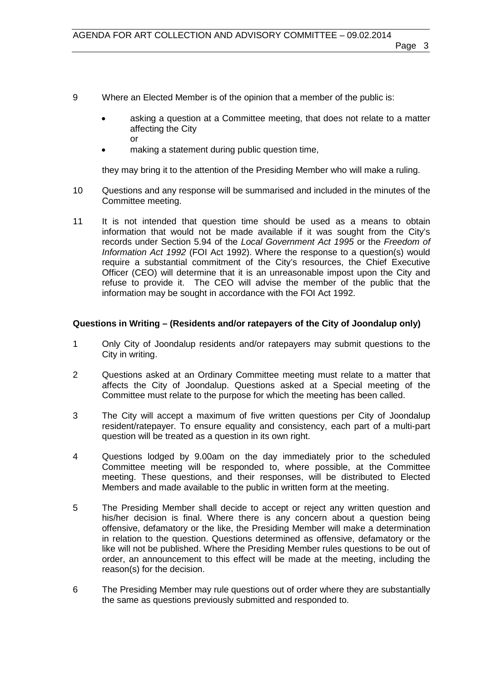- 9 Where an Elected Member is of the opinion that a member of the public is:
	- asking a question at a Committee meeting, that does not relate to a matter affecting the City or
	- making a statement during public question time,

they may bring it to the attention of the Presiding Member who will make a ruling.

- 10 Questions and any response will be summarised and included in the minutes of the Committee meeting.
- 11 It is not intended that question time should be used as a means to obtain information that would not be made available if it was sought from the City's records under Section 5.94 of the *Local Government Act 1995* or the *Freedom of Information Act 1992* (FOI Act 1992). Where the response to a question(s) would require a substantial commitment of the City's resources, the Chief Executive Officer (CEO) will determine that it is an unreasonable impost upon the City and refuse to provide it. The CEO will advise the member of the public that the information may be sought in accordance with the FOI Act 1992.

# **Questions in Writing – (Residents and/or ratepayers of the City of Joondalup only)**

- 1 Only City of Joondalup residents and/or ratepayers may submit questions to the City in writing.
- 2 Questions asked at an Ordinary Committee meeting must relate to a matter that affects the City of Joondalup. Questions asked at a Special meeting of the Committee must relate to the purpose for which the meeting has been called.
- 3 The City will accept a maximum of five written questions per City of Joondalup resident/ratepayer. To ensure equality and consistency, each part of a multi-part question will be treated as a question in its own right.
- 4 Questions lodged by 9.00am on the day immediately prior to the scheduled Committee meeting will be responded to, where possible, at the Committee meeting. These questions, and their responses, will be distributed to Elected Members and made available to the public in written form at the meeting.
- 5 The Presiding Member shall decide to accept or reject any written question and his/her decision is final. Where there is any concern about a question being offensive, defamatory or the like, the Presiding Member will make a determination in relation to the question. Questions determined as offensive, defamatory or the like will not be published. Where the Presiding Member rules questions to be out of order, an announcement to this effect will be made at the meeting, including the reason(s) for the decision.
- 6 The Presiding Member may rule questions out of order where they are substantially the same as questions previously submitted and responded to.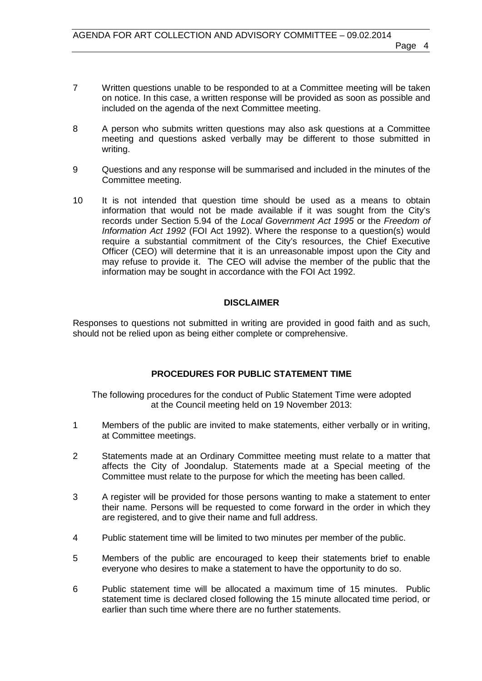- 7 Written questions unable to be responded to at a Committee meeting will be taken on notice. In this case, a written response will be provided as soon as possible and included on the agenda of the next Committee meeting.
- 8 A person who submits written questions may also ask questions at a Committee meeting and questions asked verbally may be different to those submitted in writing.
- 9 Questions and any response will be summarised and included in the minutes of the Committee meeting.
- 10 It is not intended that question time should be used as a means to obtain information that would not be made available if it was sought from the City's records under Section 5.94 of the *Local Government Act 1995* or the *Freedom of Information Act 1992* (FOI Act 1992). Where the response to a question(s) would require a substantial commitment of the City's resources, the Chief Executive Officer (CEO) will determine that it is an unreasonable impost upon the City and may refuse to provide it. The CEO will advise the member of the public that the information may be sought in accordance with the FOI Act 1992.

### **DISCLAIMER**

Responses to questions not submitted in writing are provided in good faith and as such, should not be relied upon as being either complete or comprehensive.

### **PROCEDURES FOR PUBLIC STATEMENT TIME**

The following procedures for the conduct of Public Statement Time were adopted at the Council meeting held on 19 November 2013:

- 1 Members of the public are invited to make statements, either verbally or in writing, at Committee meetings.
- 2 Statements made at an Ordinary Committee meeting must relate to a matter that affects the City of Joondalup. Statements made at a Special meeting of the Committee must relate to the purpose for which the meeting has been called.
- 3 A register will be provided for those persons wanting to make a statement to enter their name. Persons will be requested to come forward in the order in which they are registered, and to give their name and full address.
- 4 Public statement time will be limited to two minutes per member of the public.
- 5 Members of the public are encouraged to keep their statements brief to enable everyone who desires to make a statement to have the opportunity to do so.
- 6 Public statement time will be allocated a maximum time of 15 minutes. Public statement time is declared closed following the 15 minute allocated time period, or earlier than such time where there are no further statements.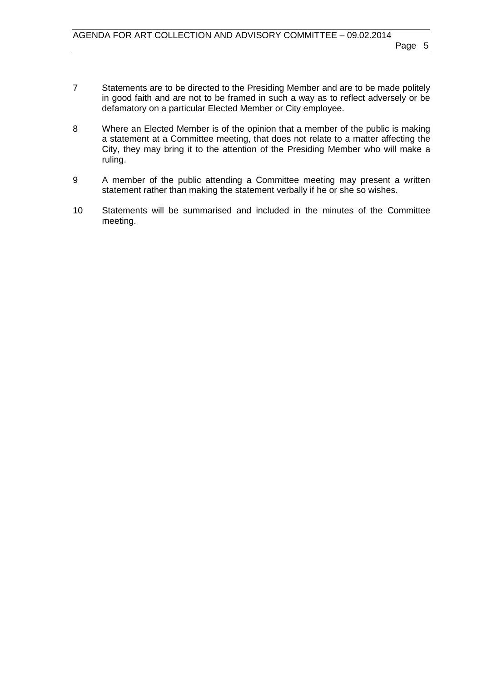- 7 Statements are to be directed to the Presiding Member and are to be made politely in good faith and are not to be framed in such a way as to reflect adversely or be defamatory on a particular Elected Member or City employee.
- 8 Where an Elected Member is of the opinion that a member of the public is making a statement at a Committee meeting, that does not relate to a matter affecting the City, they may bring it to the attention of the Presiding Member who will make a ruling.
- 9 A member of the public attending a Committee meeting may present a written statement rather than making the statement verbally if he or she so wishes.
- 10 Statements will be summarised and included in the minutes of the Committee meeting.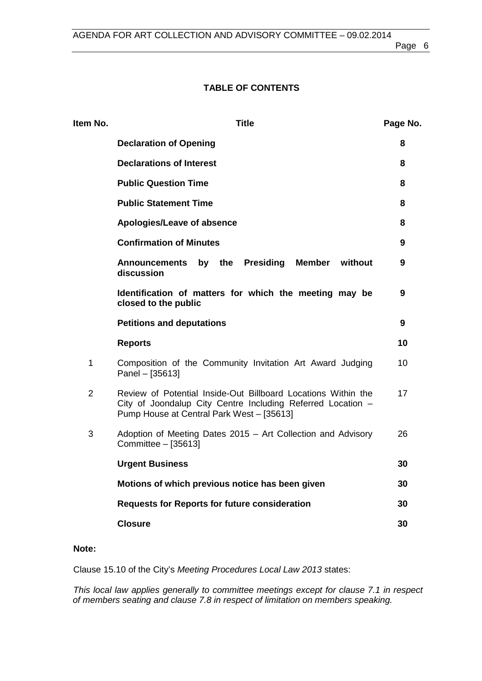# **TABLE OF CONTENTS**

| Item No.       | <b>Title</b>                                                                                                                                                              | Page No. |
|----------------|---------------------------------------------------------------------------------------------------------------------------------------------------------------------------|----------|
|                | <b>Declaration of Opening</b>                                                                                                                                             | 8        |
|                | <b>Declarations of Interest</b>                                                                                                                                           | 8        |
|                | <b>Public Question Time</b>                                                                                                                                               | 8        |
|                | <b>Public Statement Time</b>                                                                                                                                              | 8        |
|                | Apologies/Leave of absence                                                                                                                                                | 8        |
|                | <b>Confirmation of Minutes</b>                                                                                                                                            | 9        |
|                | by the<br>Presiding<br><b>Member</b><br>without<br><b>Announcements</b><br>discussion                                                                                     | 9        |
|                | Identification of matters for which the meeting may be<br>closed to the public                                                                                            | 9        |
|                | <b>Petitions and deputations</b>                                                                                                                                          | 9        |
|                | <b>Reports</b>                                                                                                                                                            | 10       |
| $\mathbf{1}$   | Composition of the Community Invitation Art Award Judging<br>Panel - [35613]                                                                                              | 10       |
| $\overline{2}$ | Review of Potential Inside-Out Billboard Locations Within the<br>City of Joondalup City Centre Including Referred Location -<br>Pump House at Central Park West - [35613] | 17       |
| 3              | Adoption of Meeting Dates 2015 – Art Collection and Advisory<br>Committee - [35613]                                                                                       | 26       |
|                | <b>Urgent Business</b>                                                                                                                                                    | 30       |
|                | Motions of which previous notice has been given                                                                                                                           | 30       |
|                | <b>Requests for Reports for future consideration</b>                                                                                                                      | 30       |
|                | <b>Closure</b>                                                                                                                                                            | 30       |
|                |                                                                                                                                                                           |          |

# **Note:**

Clause 15.10 of the City's *Meeting Procedures Local Law 2013* states:

*This local law applies generally to committee meetings except for clause 7.1 in respect of members seating and clause 7.8 in respect of limitation on members speaking.*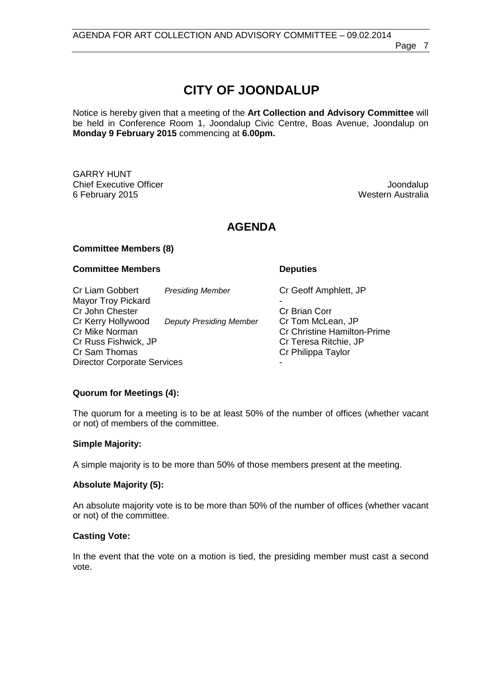# **CITY OF JOONDALUP**

Notice is hereby given that a meeting of the **Art Collection and Advisory Committee** will be held in Conference Room 1, Joondalup Civic Centre, Boas Avenue, Joondalup on **Monday 9 February 2015** commencing at **6.00pm.**

GARRY HUNT Chief Executive Officer (Secure 2015)<br>The Security 2015 of February 2015 6 February 2015

# **AGENDA**

#### **Committee Members (8)**

#### **Committee Members Deputies**

Cr Liam Gobbert *Presiding Member* Cr Geoff Amphlett, JP Mayor Troy Pickard **Cr John Chester Cr Brian Corresponding Cr Brian Corresponding Cr Brian Corresponding Cr Brian Corresponding Cr Brian Corresponding Cr Brian Corresponding Cr Brian Corresponding Cr Brian Corresponding Cr Brian Correspondin** Cr Kerry Hollywood *Deputy Presiding Member* Cr Tom McLean, JP Cr Christine Hamilton-Prime<br>Cr Teresa Ritchie. JP Cr Russ Fishwick, JP<br>Cr Sam Thomas Cr Philippa Taylor Director Corporate Services

#### **Quorum for Meetings (4):**

The quorum for a meeting is to be at least 50% of the number of offices (whether vacant or not) of members of the committee.

#### **Simple Majority:**

A simple majority is to be more than 50% of those members present at the meeting.

#### **Absolute Majority (5):**

An absolute majority vote is to be more than 50% of the number of offices (whether vacant or not) of the committee.

#### **Casting Vote:**

In the event that the vote on a motion is tied, the presiding member must cast a second vote.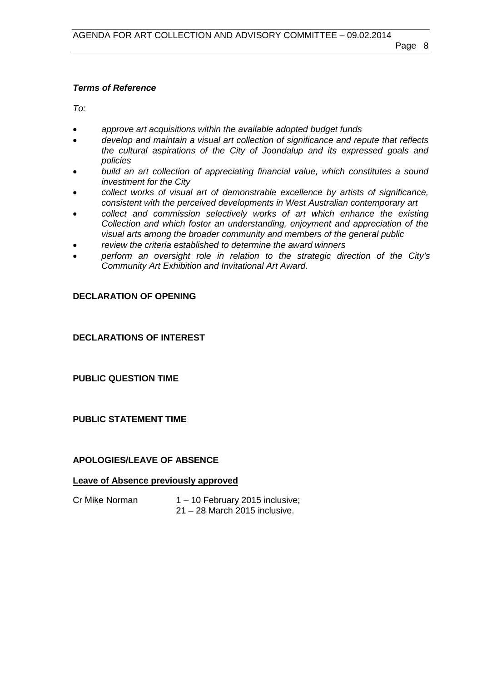### *Terms of Reference*

*To:*

- *approve art acquisitions within the available adopted budget funds*
- *develop and maintain a visual art collection of significance and repute that reflects the cultural aspirations of the City of Joondalup and its expressed goals and policies*
- *build an art collection of appreciating financial value, which constitutes a sound investment for the City*
- *collect works of visual art of demonstrable excellence by artists of significance, consistent with the perceived developments in West Australian contemporary art*
- *collect and commission selectively works of art which enhance the existing Collection and which foster an understanding, enjoyment and appreciation of the visual arts among the broader community and members of the general public*
- *review the criteria established to determine the award winners*
- *perform an oversight role in relation to the strategic direction of the City's Community Art Exhibition and Invitational Art Award.*

# <span id="page-7-0"></span>**DECLARATION OF OPENING**

# <span id="page-7-1"></span>**DECLARATIONS OF INTEREST**

<span id="page-7-2"></span>**PUBLIC QUESTION TIME**

### <span id="page-7-3"></span>**PUBLIC STATEMENT TIME**

### <span id="page-7-4"></span>**APOLOGIES/LEAVE OF ABSENCE**

### **Leave of Absence previously approved**

Cr Mike Norman 1 – 10 February 2015 inclusive; 21 – 28 March 2015 inclusive.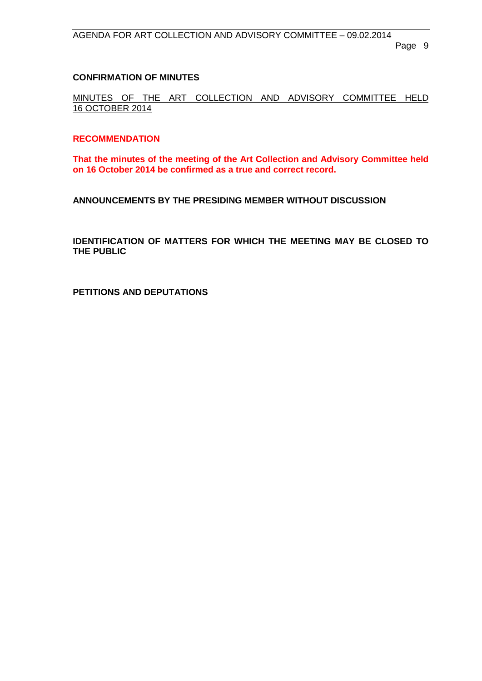#### <span id="page-8-0"></span>**CONFIRMATION OF MINUTES**

MINUTES OF THE ART COLLECTION AND ADVISORY COMMITTEE HELD 16 OCTOBER 2014

#### **RECOMMENDATION**

**That the minutes of the meeting of the Art Collection and Advisory Committee held on 16 October 2014 be confirmed as a true and correct record.**

<span id="page-8-1"></span>**ANNOUNCEMENTS BY THE PRESIDING MEMBER WITHOUT DISCUSSION**

<span id="page-8-2"></span>**IDENTIFICATION OF MATTERS FOR WHICH THE MEETING MAY BE CLOSED TO THE PUBLIC**

<span id="page-8-3"></span>**PETITIONS AND DEPUTATIONS**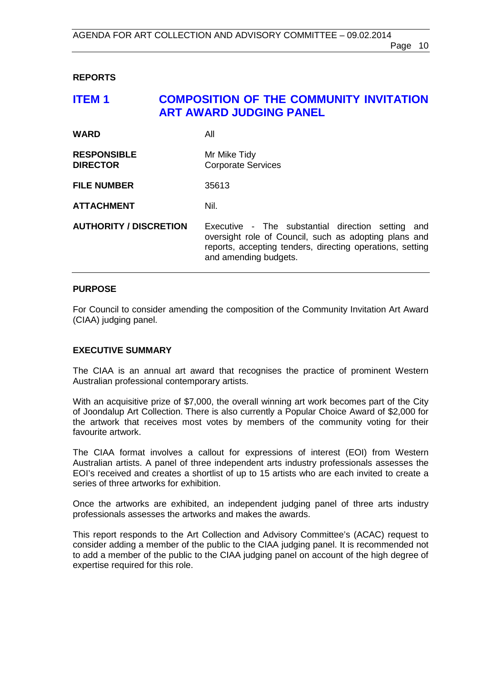#### <span id="page-9-0"></span>**REPORTS**

# <span id="page-9-1"></span>**ITEM 1 COMPOSITION OF THE COMMUNITY INVITATION ART AWARD JUDGING PANEL**

| <b>WARD</b>                           | All                                                                                                                                                                                                 |
|---------------------------------------|-----------------------------------------------------------------------------------------------------------------------------------------------------------------------------------------------------|
| <b>RESPONSIBLE</b><br><b>DIRECTOR</b> | Mr Mike Tidy<br><b>Corporate Services</b>                                                                                                                                                           |
| <b>FILE NUMBER</b>                    | 35613                                                                                                                                                                                               |
| <b>ATTACHMENT</b>                     | Nil.                                                                                                                                                                                                |
| <b>AUTHORITY / DISCRETION</b>         | Executive - The substantial direction setting<br>and<br>oversight role of Council, such as adopting plans and<br>reports, accepting tenders, directing operations, setting<br>and amending budgets. |

#### **PURPOSE**

For Council to consider amending the composition of the Community Invitation Art Award (CIAA) judging panel.

#### **EXECUTIVE SUMMARY**

The CIAA is an annual art award that recognises the practice of prominent Western Australian professional contemporary artists.

With an acquisitive prize of \$7,000, the overall winning art work becomes part of the City of Joondalup Art Collection. There is also currently a Popular Choice Award of \$2,000 for the artwork that receives most votes by members of the community voting for their favourite artwork.

The CIAA format involves a callout for expressions of interest (EOI) from Western Australian artists. A panel of three independent arts industry professionals assesses the EOI's received and creates a shortlist of up to 15 artists who are each invited to create a series of three artworks for exhibition.

Once the artworks are exhibited, an independent judging panel of three arts industry professionals assesses the artworks and makes the awards.

This report responds to the Art Collection and Advisory Committee's (ACAC) request to consider adding a member of the public to the CIAA judging panel. It is recommended not to add a member of the public to the CIAA judging panel on account of the high degree of expertise required for this role.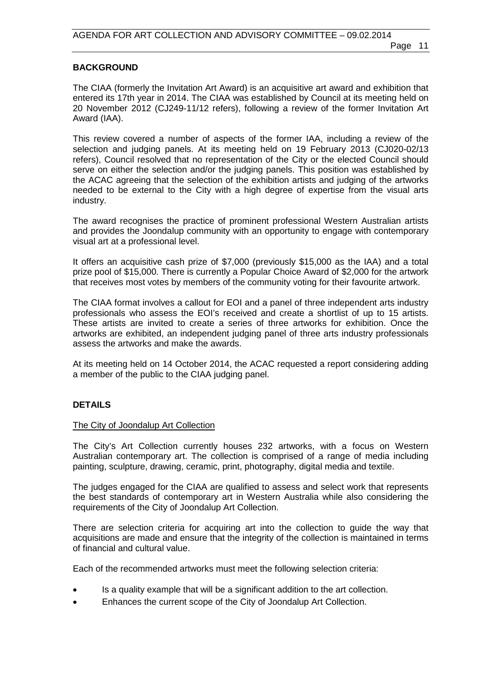#### **BACKGROUND**

The CIAA (formerly the Invitation Art Award) is an acquisitive art award and exhibition that entered its 17th year in 2014. The CIAA was established by Council at its meeting held on 20 November 2012 (CJ249-11/12 refers), following a review of the former Invitation Art Award (IAA).

This review covered a number of aspects of the former IAA, including a review of the selection and judging panels. At its meeting held on 19 February 2013 (CJ020-02/13 refers), Council resolved that no representation of the City or the elected Council should serve on either the selection and/or the judging panels. This position was established by the ACAC agreeing that the selection of the exhibition artists and judging of the artworks needed to be external to the City with a high degree of expertise from the visual arts industry.

The award recognises the practice of prominent professional Western Australian artists and provides the Joondalup community with an opportunity to engage with contemporary visual art at a professional level.

It offers an acquisitive cash prize of \$7,000 (previously \$15,000 as the IAA) and a total prize pool of \$15,000. There is currently a Popular Choice Award of \$2,000 for the artwork that receives most votes by members of the community voting for their favourite artwork.

The CIAA format involves a callout for EOI and a panel of three independent arts industry professionals who assess the EOI's received and create a shortlist of up to 15 artists. These artists are invited to create a series of three artworks for exhibition. Once the artworks are exhibited, an independent judging panel of three arts industry professionals assess the artworks and make the awards.

At its meeting held on 14 October 2014, the ACAC requested a report considering adding a member of the public to the CIAA judging panel.

### **DETAILS**

#### The City of Joondalup Art Collection

The City's Art Collection currently houses 232 artworks, with a focus on Western Australian contemporary art. The collection is comprised of a range of media including painting, sculpture, drawing, ceramic, print, photography, digital media and textile.

The judges engaged for the CIAA are qualified to assess and select work that represents the best standards of contemporary art in Western Australia while also considering the requirements of the City of Joondalup Art Collection.

There are selection criteria for acquiring art into the collection to guide the way that acquisitions are made and ensure that the integrity of the collection is maintained in terms of financial and cultural value.

Each of the recommended artworks must meet the following selection criteria:

- Is a quality example that will be a significant addition to the art collection.
- Enhances the current scope of the City of Joondalup Art Collection.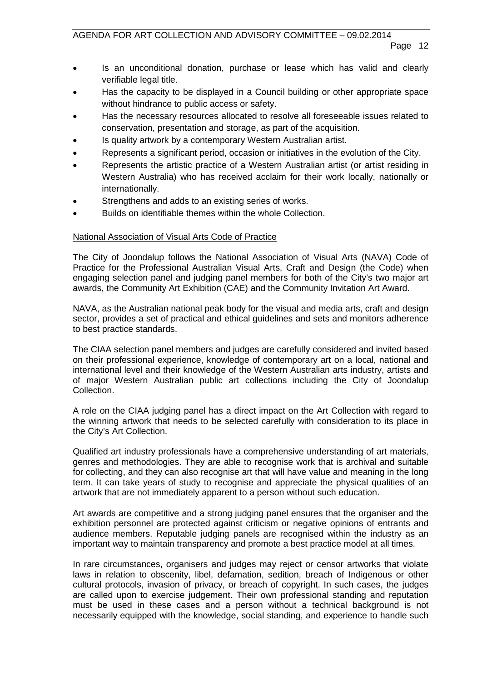- Is an unconditional donation, purchase or lease which has valid and clearly verifiable legal title.
- Has the capacity to be displayed in a Council building or other appropriate space without hindrance to public access or safety.
- Has the necessary resources allocated to resolve all foreseeable issues related to conservation, presentation and storage, as part of the acquisition.
- Is quality artwork by a contemporary Western Australian artist.
- Represents a significant period, occasion or initiatives in the evolution of the City.
- Represents the artistic practice of a Western Australian artist (or artist residing in Western Australia) who has received acclaim for their work locally, nationally or internationally.
- Strengthens and adds to an existing series of works.
- Builds on identifiable themes within the whole Collection.

#### National Association of Visual Arts Code of Practice

The City of Joondalup follows the National Association of Visual Arts (NAVA) Code of Practice for the Professional Australian Visual Arts, Craft and Design (the Code) when engaging selection panel and judging panel members for both of the City's two major art awards, the Community Art Exhibition (CAE) and the Community Invitation Art Award.

NAVA, as the Australian national peak body for the visual and media arts, craft and design sector, provides a set of practical and ethical guidelines and sets and monitors adherence to best practice standards.

The CIAA selection panel members and judges are carefully considered and invited based on their professional experience, knowledge of contemporary art on a local, national and international level and their knowledge of the Western Australian arts industry, artists and of major Western Australian public art collections including the City of Joondalup Collection.

A role on the CIAA judging panel has a direct impact on the Art Collection with regard to the winning artwork that needs to be selected carefully with consideration to its place in the City's Art Collection.

Qualified art industry professionals have a comprehensive understanding of art materials, genres and methodologies. They are able to recognise work that is archival and suitable for collecting, and they can also recognise art that will have value and meaning in the long term. It can take years of study to recognise and appreciate the physical qualities of an artwork that are not immediately apparent to a person without such education.

Art awards are competitive and a strong judging panel ensures that the organiser and the exhibition personnel are protected against criticism or negative opinions of entrants and audience members. Reputable judging panels are recognised within the industry as an important way to maintain transparency and promote a best practice model at all times.

In rare circumstances, organisers and judges may reject or censor artworks that violate laws in relation to obscenity, libel, defamation, sedition, breach of Indigenous or other cultural protocols, invasion of privacy, or breach of copyright. In such cases, the judges are called upon to exercise judgement. Their own professional standing and reputation must be used in these cases and a person without a technical background is not necessarily equipped with the knowledge, social standing, and experience to handle such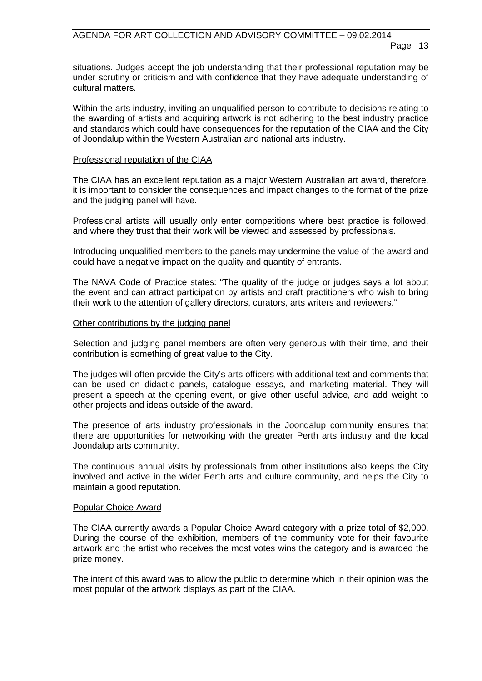situations. Judges accept the job understanding that their professional reputation may be under scrutiny or criticism and with confidence that they have adequate understanding of cultural matters.

Within the arts industry, inviting an unqualified person to contribute to decisions relating to the awarding of artists and acquiring artwork is not adhering to the best industry practice and standards which could have consequences for the reputation of the CIAA and the City of Joondalup within the Western Australian and national arts industry.

#### Professional reputation of the CIAA

The CIAA has an excellent reputation as a major Western Australian art award, therefore, it is important to consider the consequences and impact changes to the format of the prize and the judging panel will have.

Professional artists will usually only enter competitions where best practice is followed, and where they trust that their work will be viewed and assessed by professionals.

Introducing unqualified members to the panels may undermine the value of the award and could have a negative impact on the quality and quantity of entrants.

The NAVA Code of Practice states: "The quality of the judge or judges says a lot about the event and can attract participation by artists and craft practitioners who wish to bring their work to the attention of gallery directors, curators, arts writers and reviewers."

#### Other contributions by the judging panel

Selection and judging panel members are often very generous with their time, and their contribution is something of great value to the City.

The judges will often provide the City's arts officers with additional text and comments that can be used on didactic panels, catalogue essays, and marketing material. They will present a speech at the opening event, or give other useful advice, and add weight to other projects and ideas outside of the award.

The presence of arts industry professionals in the Joondalup community ensures that there are opportunities for networking with the greater Perth arts industry and the local Joondalup arts community.

The continuous annual visits by professionals from other institutions also keeps the City involved and active in the wider Perth arts and culture community, and helps the City to maintain a good reputation.

#### Popular Choice Award

The CIAA currently awards a Popular Choice Award category with a prize total of \$2,000. During the course of the exhibition, members of the community vote for their favourite artwork and the artist who receives the most votes wins the category and is awarded the prize money.

The intent of this award was to allow the public to determine which in their opinion was the most popular of the artwork displays as part of the CIAA.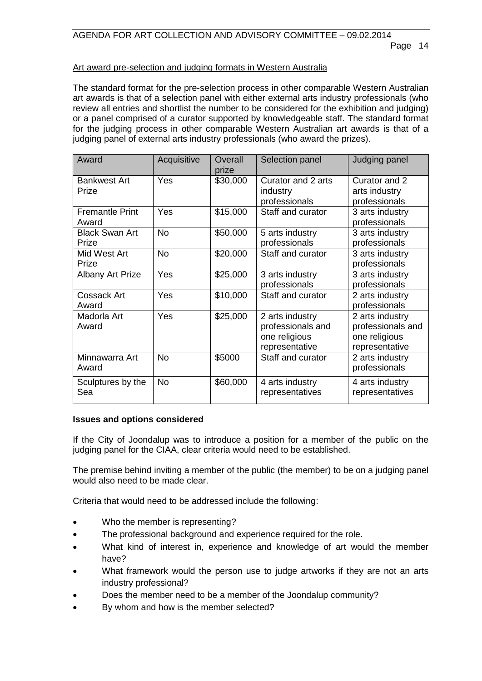#### Art award pre-selection and judging formats in Western Australia

The standard format for the pre-selection process in other comparable Western Australian art awards is that of a selection panel with either external arts industry professionals (who review all entries and shortlist the number to be considered for the exhibition and judging) or a panel comprised of a curator supported by knowledgeable staff. The standard format for the judging process in other comparable Western Australian art awards is that of a judging panel of external arts industry professionals (who award the prizes).

| Award                           | Acquisitive | Overall<br>prize | Selection panel                                                         | Judging panel                                                           |
|---------------------------------|-------------|------------------|-------------------------------------------------------------------------|-------------------------------------------------------------------------|
| <b>Bankwest Art</b><br>Prize    | Yes         | \$30,000         | Curator and 2 arts<br>industry<br>professionals                         | Curator and 2<br>arts industry<br>professionals                         |
| <b>Fremantle Print</b><br>Award | Yes         | \$15,000         | Staff and curator                                                       | 3 arts industry<br>professionals                                        |
| <b>Black Swan Art</b><br>Prize  | <b>No</b>   | \$50,000         | 5 arts industry<br>professionals                                        | 3 arts industry<br>professionals                                        |
| Mid West Art<br>Prize           | <b>No</b>   | \$20,000         | Staff and curator                                                       | 3 arts industry<br>professionals                                        |
| <b>Albany Art Prize</b>         | Yes         | \$25,000         | 3 arts industry<br>professionals                                        | 3 arts industry<br>professionals                                        |
| <b>Cossack Art</b><br>Award     | Yes         | \$10,000         | Staff and curator                                                       | 2 arts industry<br>professionals                                        |
| Madorla Art<br>Award            | Yes         | \$25,000         | 2 arts industry<br>professionals and<br>one religious<br>representative | 2 arts industry<br>professionals and<br>one religious<br>representative |
| Minnawarra Art<br>Award         | <b>No</b>   | \$5000           | Staff and curator                                                       | 2 arts industry<br>professionals                                        |
| Sculptures by the<br>Sea        | <b>No</b>   | \$60,000         | 4 arts industry<br>representatives                                      | 4 arts industry<br>representatives                                      |

#### **Issues and options considered**

If the City of Joondalup was to introduce a position for a member of the public on the judging panel for the CIAA, clear criteria would need to be established.

The premise behind inviting a member of the public (the member) to be on a judging panel would also need to be made clear.

Criteria that would need to be addressed include the following:

- Who the member is representing?
- The professional background and experience required for the role.
- What kind of interest in, experience and knowledge of art would the member have?
- What framework would the person use to judge artworks if they are not an arts industry professional?
- Does the member need to be a member of the Joondalup community?
- By whom and how is the member selected?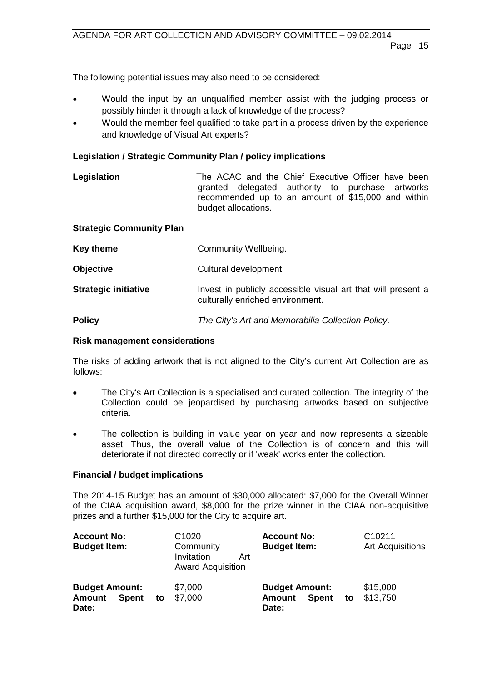The following potential issues may also need to be considered:

- Would the input by an unqualified member assist with the judging process or possibly hinder it through a lack of knowledge of the process?
- Would the member feel qualified to take part in a process driven by the experience and knowledge of Visual Art experts?

#### **Legislation / Strategic Community Plan / policy implications**

| Legislation | The ACAC and the Chief Executive Officer have been |
|-------------|----------------------------------------------------|
|             | granted delegated authority to purchase artworks   |
|             | recommended up to an amount of \$15,000 and within |
|             | budget allocations.                                |

#### **Strategic Community Plan**

| Key theme                   | Community Wellbeing.                                                                             |
|-----------------------------|--------------------------------------------------------------------------------------------------|
| <b>Objective</b>            | Cultural development.                                                                            |
| <b>Strategic initiative</b> | Invest in publicly accessible visual art that will present a<br>culturally enriched environment. |
| <b>Policy</b>               | The City's Art and Memorabilia Collection Policy.                                                |

#### **Risk management considerations**

The risks of adding artwork that is not aligned to the City's current Art Collection are as follows:

- The City's Art Collection is a specialised and curated collection. The integrity of the Collection could be jeopardised by purchasing artworks based on subjective criteria.
- The collection is building in value year on year and now represents a sizeable asset. Thus, the overall value of the Collection is of concern and this will deteriorate if not directed correctly or if 'weak' works enter the collection.

#### **Financial / budget implications**

The 2014-15 Budget has an amount of \$30,000 allocated: \$7,000 for the Overall Winner of the CIAA acquisition award, \$8,000 for the prize winner in the CIAA non-acquisitive prizes and a further \$15,000 for the City to acquire art.

| <b>Account No:</b><br><b>Budget Item:</b>                       |    | C <sub>1020</sub><br>Community<br>Invitation<br>Art<br><b>Award Acquisition</b> | <b>Account No:</b><br><b>Budget Item:</b>                       |    | C10211<br><b>Art Acquisitions</b> |
|-----------------------------------------------------------------|----|---------------------------------------------------------------------------------|-----------------------------------------------------------------|----|-----------------------------------|
| <b>Budget Amount:</b><br><b>Amount</b><br><b>Spent</b><br>Date: | to | \$7,000<br>\$7,000                                                              | <b>Budget Amount:</b><br><b>Spent</b><br><b>Amount</b><br>Date: | to | \$15,000<br>\$13,750              |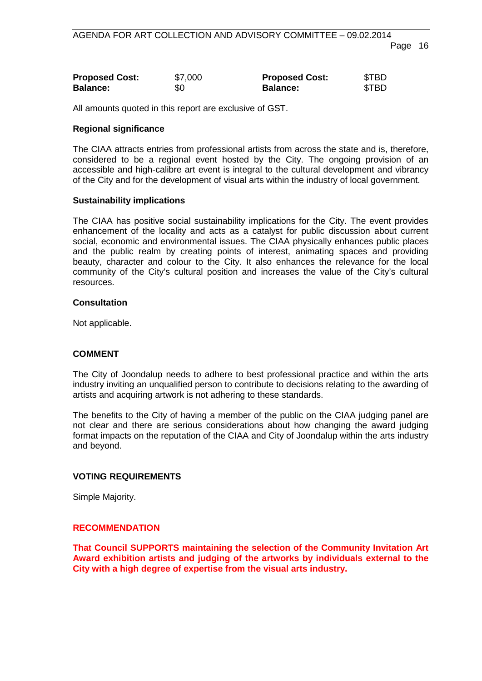| <b>Proposed Cost:</b> | \$7,000 | <b>Proposed Cost:</b> | \$TBD |
|-----------------------|---------|-----------------------|-------|
| <b>Balance:</b>       | \$0     | <b>Balance:</b>       | \$TBD |

All amounts quoted in this report are exclusive of GST.

#### **Regional significance**

The CIAA attracts entries from professional artists from across the state and is, therefore, considered to be a regional event hosted by the City. The ongoing provision of an accessible and high-calibre art event is integral to the cultural development and vibrancy of the City and for the development of visual arts within the industry of local government.

#### **Sustainability implications**

The CIAA has positive social sustainability implications for the City. The event provides enhancement of the locality and acts as a catalyst for public discussion about current social, economic and environmental issues. The CIAA physically enhances public places and the public realm by creating points of interest, animating spaces and providing beauty, character and colour to the City. It also enhances the relevance for the local community of the City's cultural position and increases the value of the City's cultural resources.

#### **Consultation**

Not applicable.

### **COMMENT**

The City of Joondalup needs to adhere to best professional practice and within the arts industry inviting an unqualified person to contribute to decisions relating to the awarding of artists and acquiring artwork is not adhering to these standards.

The benefits to the City of having a member of the public on the CIAA judging panel are not clear and there are serious considerations about how changing the award judging format impacts on the reputation of the CIAA and City of Joondalup within the arts industry and beyond.

### **VOTING REQUIREMENTS**

Simple Majority.

#### **RECOMMENDATION**

**That Council SUPPORTS maintaining the selection of the Community Invitation Art Award exhibition artists and judging of the artworks by individuals external to the City with a high degree of expertise from the visual arts industry.**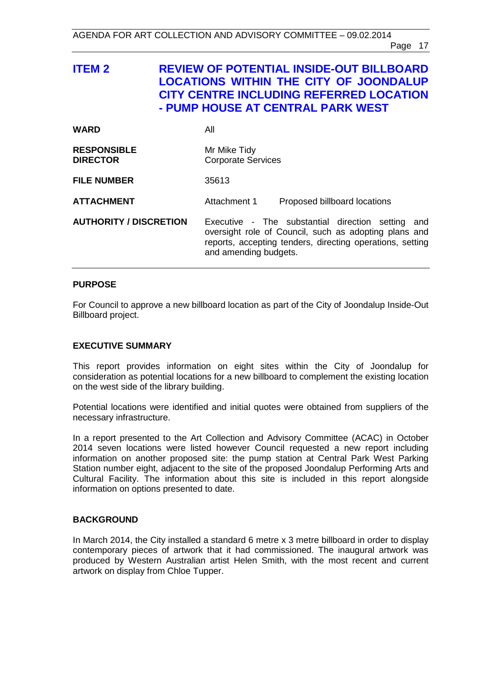# <span id="page-16-0"></span>**ITEM 2 REVIEW OF POTENTIAL INSIDE-OUT BILLBOARD LOCATIONS WITHIN THE CITY OF JOONDALUP CITY CENTRE INCLUDING REFERRED LOCATION - PUMP HOUSE AT CENTRAL PARK WEST**

| <b>WARD</b>                           | All                                                                                                                                                                                                 |
|---------------------------------------|-----------------------------------------------------------------------------------------------------------------------------------------------------------------------------------------------------|
| <b>RESPONSIBLE</b><br><b>DIRECTOR</b> | Mr Mike Tidy<br><b>Corporate Services</b>                                                                                                                                                           |
| <b>FILE NUMBER</b>                    | 35613                                                                                                                                                                                               |
| <b>ATTACHMENT</b>                     | Attachment 1<br>Proposed billboard locations                                                                                                                                                        |
| <b>AUTHORITY / DISCRETION</b>         | Executive - The substantial direction setting<br>and<br>oversight role of Council, such as adopting plans and<br>reports, accepting tenders, directing operations, setting<br>and amending budgets. |

#### **PURPOSE**

For Council to approve a new billboard location as part of the City of Joondalup Inside-Out Billboard project.

#### **EXECUTIVE SUMMARY**

This report provides information on eight sites within the City of Joondalup for consideration as potential locations for a new billboard to complement the existing location on the west side of the library building.

Potential locations were identified and initial quotes were obtained from suppliers of the necessary infrastructure.

In a report presented to the Art Collection and Advisory Committee (ACAC) in October 2014 seven locations were listed however Council requested a new report including information on another proposed site: the pump station at Central Park West Parking Station number eight, adjacent to the site of the proposed Joondalup Performing Arts and Cultural Facility. The information about this site is included in this report alongside information on options presented to date.

#### **BACKGROUND**

In March 2014, the City installed a standard 6 metre x 3 metre billboard in order to display contemporary pieces of artwork that it had commissioned. The inaugural artwork was produced by Western Australian artist Helen Smith, with the most recent and current artwork on display from Chloe Tupper.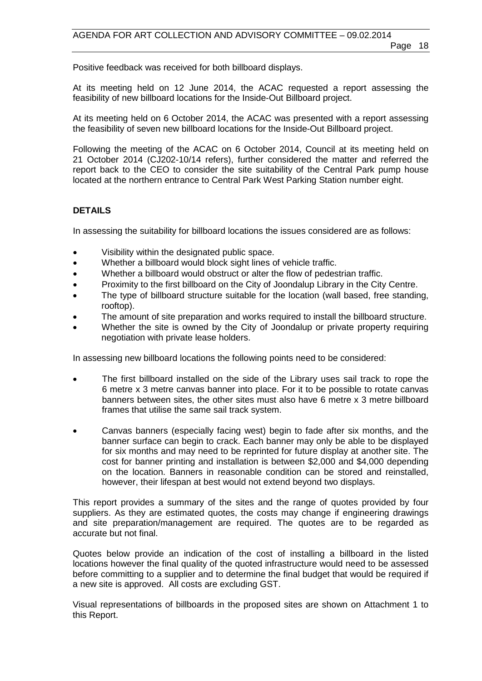Positive feedback was received for both billboard displays.

At its meeting held on 12 June 2014, the ACAC requested a report assessing the feasibility of new billboard locations for the Inside-Out Billboard project.

At its meeting held on 6 October 2014, the ACAC was presented with a report assessing the feasibility of seven new billboard locations for the Inside-Out Billboard project.

Following the meeting of the ACAC on 6 October 2014, Council at its meeting held on 21 October 2014 (CJ202-10/14 refers), further considered the matter and referred the report back to the CEO to consider the site suitability of the Central Park pump house located at the northern entrance to Central Park West Parking Station number eight.

### **DETAILS**

In assessing the suitability for billboard locations the issues considered are as follows:

- Visibility within the designated public space.
- Whether a billboard would block sight lines of vehicle traffic.
- Whether a billboard would obstruct or alter the flow of pedestrian traffic.
- Proximity to the first billboard on the City of Joondalup Library in the City Centre.
- The type of billboard structure suitable for the location (wall based, free standing, rooftop).
- The amount of site preparation and works required to install the billboard structure.
- Whether the site is owned by the City of Joondalup or private property requiring negotiation with private lease holders.

In assessing new billboard locations the following points need to be considered:

- The first billboard installed on the side of the Library uses sail track to rope the 6 metre x 3 metre canvas banner into place. For it to be possible to rotate canvas banners between sites, the other sites must also have 6 metre x 3 metre billboard frames that utilise the same sail track system.
- Canvas banners (especially facing west) begin to fade after six months, and the banner surface can begin to crack. Each banner may only be able to be displayed for six months and may need to be reprinted for future display at another site. The cost for banner printing and installation is between \$2,000 and \$4,000 depending on the location. Banners in reasonable condition can be stored and reinstalled, however, their lifespan at best would not extend beyond two displays.

This report provides a summary of the sites and the range of quotes provided by four suppliers. As they are estimated quotes, the costs may change if engineering drawings and site preparation/management are required. The quotes are to be regarded as accurate but not final.

Quotes below provide an indication of the cost of installing a billboard in the listed locations however the final quality of the quoted infrastructure would need to be assessed before committing to a supplier and to determine the final budget that would be required if a new site is approved. All costs are excluding GST.

Visual representations of billboards in the proposed sites are shown on Attachment 1 to this Report.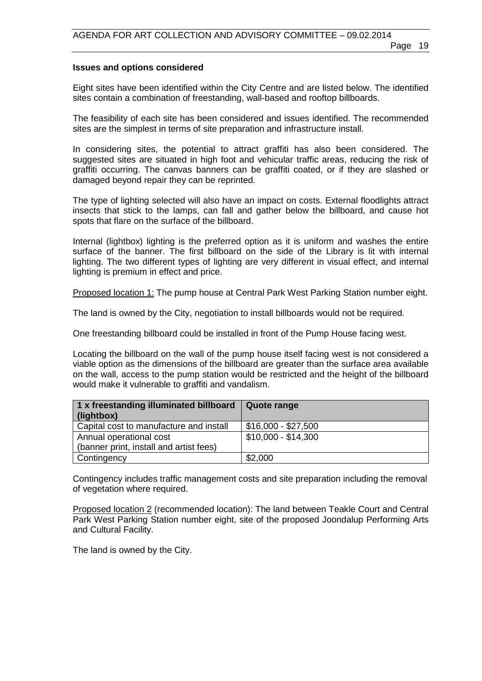#### **Issues and options considered**

Eight sites have been identified within the City Centre and are listed below. The identified sites contain a combination of freestanding, wall-based and rooftop billboards.

The feasibility of each site has been considered and issues identified. The recommended sites are the simplest in terms of site preparation and infrastructure install.

In considering sites, the potential to attract graffiti has also been considered. The suggested sites are situated in high foot and vehicular traffic areas, reducing the risk of graffiti occurring. The canvas banners can be graffiti coated, or if they are slashed or damaged beyond repair they can be reprinted.

The type of lighting selected will also have an impact on costs. External floodlights attract insects that stick to the lamps, can fall and gather below the billboard, and cause hot spots that flare on the surface of the billboard.

Internal (lightbox) lighting is the preferred option as it is uniform and washes the entire surface of the banner. The first billboard on the side of the Library is lit with internal lighting. The two different types of lighting are very different in visual effect, and internal lighting is premium in effect and price.

Proposed location 1: The pump house at Central Park West Parking Station number eight.

The land is owned by the City, negotiation to install billboards would not be required.

One freestanding billboard could be installed in front of the Pump House facing west.

Locating the billboard on the wall of the pump house itself facing west is not considered a viable option as the dimensions of the billboard are greater than the surface area available on the wall, access to the pump station would be restricted and the height of the billboard would make it vulnerable to graffiti and vandalism.

| 1 x freestanding illuminated billboard  | Quote range         |
|-----------------------------------------|---------------------|
| (lightbox)                              |                     |
| Capital cost to manufacture and install | $$16,000 - $27,500$ |
| Annual operational cost                 | $$10,000 - $14,300$ |
| (banner print, install and artist fees) |                     |
| Contingency                             | \$2,000             |

Contingency includes traffic management costs and site preparation including the removal of vegetation where required.

Proposed location 2 (recommended location): The land between Teakle Court and Central Park West Parking Station number eight, site of the proposed Joondalup Performing Arts and Cultural Facility.

The land is owned by the City.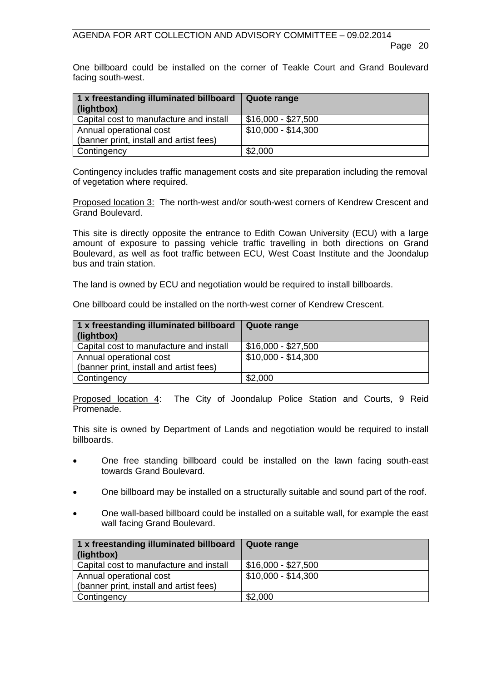One billboard could be installed on the corner of Teakle Court and Grand Boulevard facing south-west.

| 1 x freestanding illuminated billboard<br>(lightbox) | Quote range         |
|------------------------------------------------------|---------------------|
| Capital cost to manufacture and install              | \$16,000 - \$27,500 |
| Annual operational cost                              | \$10,000 - \$14,300 |
| (banner print, install and artist fees)              |                     |
| Contingency                                          | \$2,000             |

Contingency includes traffic management costs and site preparation including the removal of vegetation where required.

Proposed location 3: The north-west and/or south-west corners of Kendrew Crescent and Grand Boulevard.

This site is directly opposite the entrance to Edith Cowan University (ECU) with a large amount of exposure to passing vehicle traffic travelling in both directions on Grand Boulevard, as well as foot traffic between ECU, West Coast Institute and the Joondalup bus and train station.

The land is owned by ECU and negotiation would be required to install billboards.

One billboard could be installed on the north-west corner of Kendrew Crescent.

| 1 x freestanding illuminated billboard<br>(lightbox) | Quote range         |
|------------------------------------------------------|---------------------|
| Capital cost to manufacture and install              | \$16,000 - \$27,500 |
| Annual operational cost                              | \$10,000 - \$14,300 |
| (banner print, install and artist fees)              |                     |
| Contingency                                          | \$2,000             |

Proposed location 4: The City of Joondalup Police Station and Courts, 9 Reid Promenade.

This site is owned by Department of Lands and negotiation would be required to install billboards.

- One free standing billboard could be installed on the lawn facing south-east towards Grand Boulevard.
- One billboard may be installed on a structurally suitable and sound part of the roof.
- One wall-based billboard could be installed on a suitable wall, for example the east wall facing Grand Boulevard.

| 1 x freestanding illuminated billboard<br>(lightbox) | <b>Quote range</b>  |
|------------------------------------------------------|---------------------|
| Capital cost to manufacture and install              | $$16,000 - $27,500$ |
| Annual operational cost                              | $$10,000 - $14,300$ |
| (banner print, install and artist fees)              |                     |
| Contingency                                          | \$2,000             |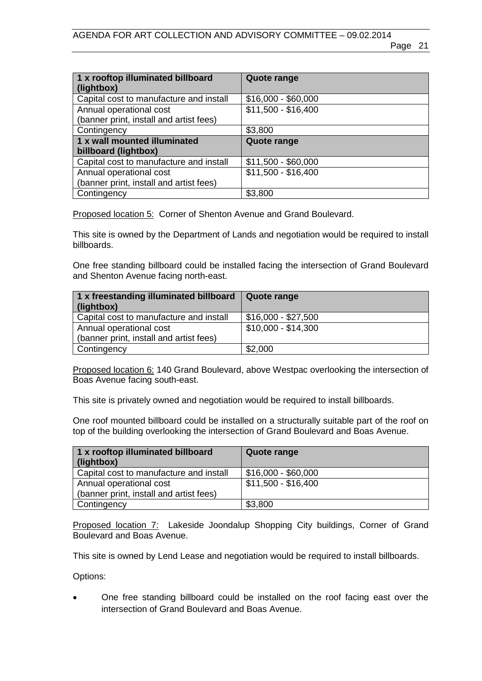| 1 x rooftop illuminated billboard<br>(lightbox) | Quote range         |
|-------------------------------------------------|---------------------|
| Capital cost to manufacture and install         | $$16,000 - $60,000$ |
| Annual operational cost                         | $$11,500 - $16,400$ |
| (banner print, install and artist fees)         |                     |
| Contingency                                     | \$3,800             |
| 1 x wall mounted illuminated                    | Quote range         |
| billboard (lightbox)                            |                     |
| Capital cost to manufacture and install         | $$11,500 - $60,000$ |
| Annual operational cost                         | $$11,500 - $16,400$ |
| (banner print, install and artist fees)         |                     |
| Contingency                                     | \$3,800             |

Proposed location 5: Corner of Shenton Avenue and Grand Boulevard.

This site is owned by the Department of Lands and negotiation would be required to install billboards.

One free standing billboard could be installed facing the intersection of Grand Boulevard and Shenton Avenue facing north-east.

| 1 x freestanding illuminated billboard<br>$\int$ (lightbox) | <b>Quote range</b>  |
|-------------------------------------------------------------|---------------------|
| Capital cost to manufacture and install                     | \$16,000 - \$27,500 |
| Annual operational cost                                     | \$10,000 - \$14,300 |
| (banner print, install and artist fees)                     |                     |
| Contingency                                                 | \$2,000             |

Proposed location 6: 140 Grand Boulevard, above Westpac overlooking the intersection of Boas Avenue facing south-east.

This site is privately owned and negotiation would be required to install billboards.

One roof mounted billboard could be installed on a structurally suitable part of the roof on top of the building overlooking the intersection of Grand Boulevard and Boas Avenue.

| 1 x rooftop illuminated billboard<br>(lightbox) | Quote range         |
|-------------------------------------------------|---------------------|
| Capital cost to manufacture and install         | $$16,000 - $60,000$ |
| Annual operational cost                         | \$11,500 - \$16,400 |
| (banner print, install and artist fees)         |                     |
| Contingency                                     | \$3,800             |

Proposed location 7: Lakeside Joondalup Shopping City buildings, Corner of Grand Boulevard and Boas Avenue.

This site is owned by Lend Lease and negotiation would be required to install billboards.

Options:

• One free standing billboard could be installed on the roof facing east over the intersection of Grand Boulevard and Boas Avenue.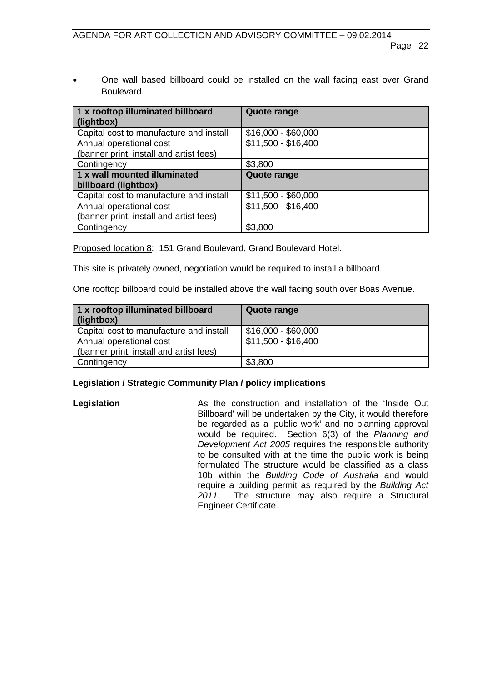• One wall based billboard could be installed on the wall facing east over Grand Boulevard.

| 1 x rooftop illuminated billboard<br>(lightbox) | <b>Quote range</b>  |
|-------------------------------------------------|---------------------|
| Capital cost to manufacture and install         | $$16,000 - $60,000$ |
| Annual operational cost                         | $$11,500 - $16,400$ |
| (banner print, install and artist fees)         |                     |
| Contingency                                     | \$3,800             |
| 1 x wall mounted illuminated                    | <b>Quote range</b>  |
| billboard (lightbox)                            |                     |
| Capital cost to manufacture and install         | $$11,500 - $60,000$ |
| Annual operational cost                         | $$11,500 - $16,400$ |
| (banner print, install and artist fees)         |                     |
| Contingency                                     | \$3,800             |

Proposed location 8: 151 Grand Boulevard, Grand Boulevard Hotel.

This site is privately owned, negotiation would be required to install a billboard.

One rooftop billboard could be installed above the wall facing south over Boas Avenue.

| 1 x rooftop illuminated billboard<br>(lightbox) | Quote range         |
|-------------------------------------------------|---------------------|
| Capital cost to manufacture and install         | \$16,000 - \$60,000 |
| Annual operational cost                         | \$11,500 - \$16,400 |
| (banner print, install and artist fees)         |                     |
| Contingency                                     | \$3,800             |

### **Legislation / Strategic Community Plan / policy implications**

**Legislation** As the construction and installation of the 'Inside Out Billboard' will be undertaken by the City, it would therefore be regarded as a 'public work' and no planning approval would be required. Section 6(3) of the *Planning and Development Act 2005* requires the responsible authority to be consulted with at the time the public work is being formulated The structure would be classified as a class 10b within the *Building Code of Australia* and would require a building permit as required by the *Building Act*  The structure may also require a Structural Engineer Certificate.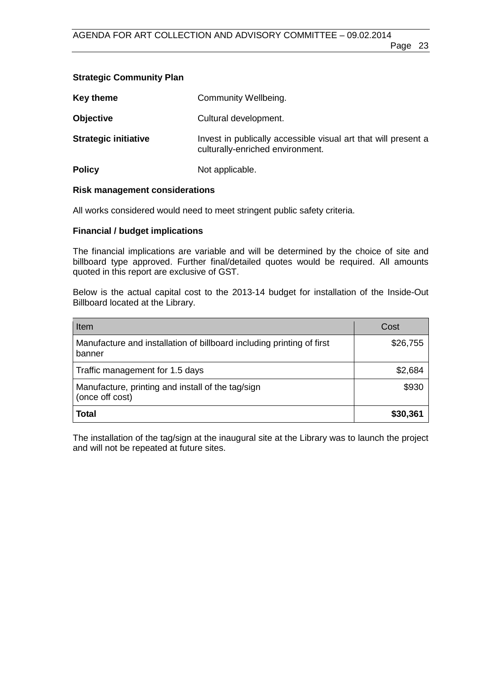# **Strategic Community Plan**

| <b>Key theme</b>            | Community Wellbeing.                                                                               |
|-----------------------------|----------------------------------------------------------------------------------------------------|
| <b>Objective</b>            | Cultural development.                                                                              |
| <b>Strategic initiative</b> | Invest in publically accessible visual art that will present a<br>culturally-enriched environment. |
| <b>Policy</b>               | Not applicable.                                                                                    |

### **Risk management considerations**

All works considered would need to meet stringent public safety criteria.

# **Financial / budget implications**

The financial implications are variable and will be determined by the choice of site and billboard type approved. Further final/detailed quotes would be required. All amounts quoted in this report are exclusive of GST.

Below is the actual capital cost to the 2013-14 budget for installation of the Inside-Out Billboard located at the Library.

| Item                                                                            | Cost     |
|---------------------------------------------------------------------------------|----------|
| Manufacture and installation of billboard including printing of first<br>banner | \$26,755 |
| Traffic management for 1.5 days                                                 | \$2,684  |
| Manufacture, printing and install of the tag/sign<br>(once off cost)            | \$930    |
| Total                                                                           | \$30,361 |

The installation of the tag/sign at the inaugural site at the Library was to launch the project and will not be repeated at future sites.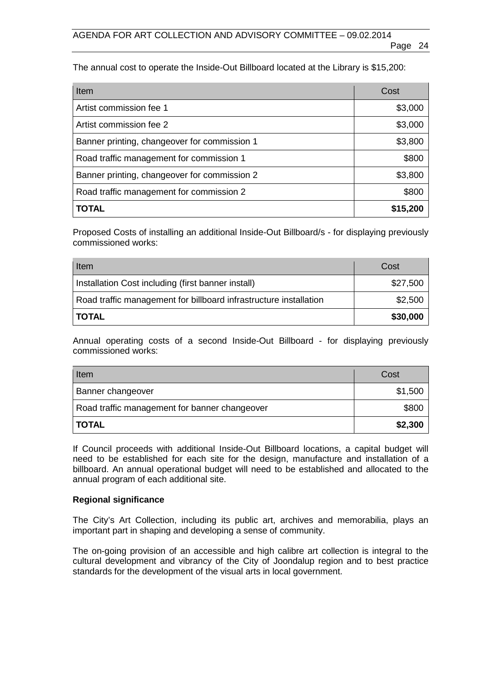The annual cost to operate the Inside-Out Billboard located at the Library is \$15,200:

| Item                                         | Cost     |
|----------------------------------------------|----------|
| Artist commission fee 1                      | \$3,000  |
| Artist commission fee 2                      | \$3,000  |
| Banner printing, changeover for commission 1 | \$3,800  |
| Road traffic management for commission 1     | \$800    |
| Banner printing, changeover for commission 2 | \$3,800  |
| Road traffic management for commission 2     | \$800    |
| <b>TOTAL</b>                                 | \$15,200 |

Proposed Costs of installing an additional Inside-Out Billboard/s - for displaying previously commissioned works:

| Item                                                              | Cost     |
|-------------------------------------------------------------------|----------|
| Installation Cost including (first banner install)                | \$27,500 |
| Road traffic management for billboard infrastructure installation | \$2,500  |
| <b>TOTAL</b>                                                      | \$30,000 |

Annual operating costs of a second Inside-Out Billboard - for displaying previously commissioned works:

| Item                                          | Cost    |
|-----------------------------------------------|---------|
| Banner changeover                             | \$1,500 |
| Road traffic management for banner changeover | \$800   |
| <b>TOTAL</b>                                  | \$2,300 |

If Council proceeds with additional Inside-Out Billboard locations, a capital budget will need to be established for each site for the design, manufacture and installation of a billboard. An annual operational budget will need to be established and allocated to the annual program of each additional site.

### **Regional significance**

The City's Art Collection, including its public art, archives and memorabilia, plays an important part in shaping and developing a sense of community.

The on-going provision of an accessible and high calibre art collection is integral to the cultural development and vibrancy of the City of Joondalup region and to best practice standards for the development of the visual arts in local government.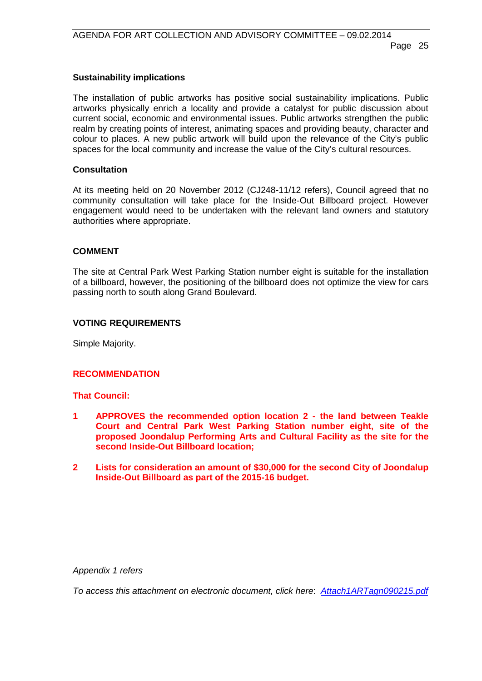#### **Sustainability implications**

The installation of public artworks has positive social sustainability implications. Public artworks physically enrich a locality and provide a catalyst for public discussion about current social, economic and environmental issues. Public artworks strengthen the public realm by creating points of interest, animating spaces and providing beauty, character and colour to places. A new public artwork will build upon the relevance of the City's public spaces for the local community and increase the value of the City's cultural resources.

#### **Consultation**

At its meeting held on 20 November 2012 (CJ248-11/12 refers), Council agreed that no community consultation will take place for the Inside-Out Billboard project. However engagement would need to be undertaken with the relevant land owners and statutory authorities where appropriate.

#### **COMMENT**

The site at Central Park West Parking Station number eight is suitable for the installation of a billboard, however, the positioning of the billboard does not optimize the view for cars passing north to south along Grand Boulevard.

#### **VOTING REQUIREMENTS**

Simple Majority.

### **RECOMMENDATION**

#### **That Council:**

- **1 APPROVES the recommended option location 2 - the land between Teakle Court and Central Park West Parking Station number eight, site of the proposed Joondalup Performing Arts and Cultural Facility as the site for the second Inside-Out Billboard location;**
- **2 Lists for consideration an amount of \$30,000 for the second City of Joondalup Inside-Out Billboard as part of the 2015-16 budget.**

*Appendix 1 refers*

*[To access this attachment on electronic document, click here](http://www.joondalup.wa.gov.au/files/committees/ACAC/2015/Attach1ARTagn090215.pdf)*: *Attach1ARTagn090215.pdf*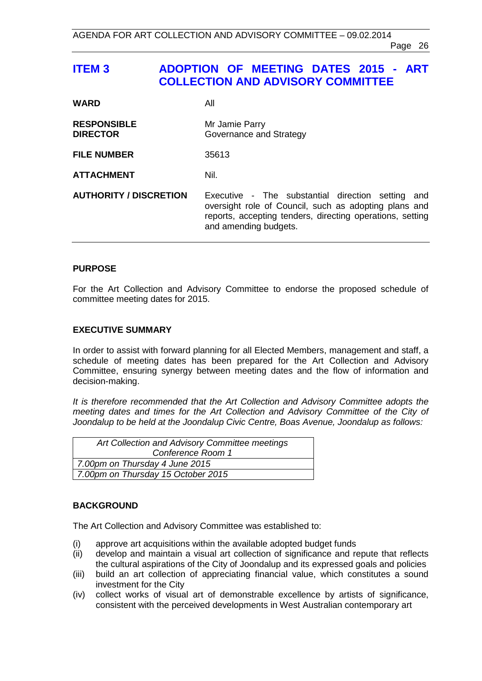# <span id="page-25-0"></span>**ITEM 3 ADOPTION OF MEETING DATES 2015 - ART COLLECTION AND ADVISORY COMMITTEE**

| <b>WARD</b>                           | All                                                                                                                                                                                                 |
|---------------------------------------|-----------------------------------------------------------------------------------------------------------------------------------------------------------------------------------------------------|
| <b>RESPONSIBLE</b><br><b>DIRECTOR</b> | Mr Jamie Parry<br>Governance and Strategy                                                                                                                                                           |
| <b>FILE NUMBER</b>                    | 35613                                                                                                                                                                                               |
| <b>ATTACHMENT</b>                     | Nil.                                                                                                                                                                                                |
| <b>AUTHORITY / DISCRETION</b>         | Executive - The substantial direction setting<br>and<br>oversight role of Council, such as adopting plans and<br>reports, accepting tenders, directing operations, setting<br>and amending budgets. |

### **PURPOSE**

For the Art Collection and Advisory Committee to endorse the proposed schedule of committee meeting dates for 2015.

#### **EXECUTIVE SUMMARY**

In order to assist with forward planning for all Elected Members, management and staff, a schedule of meeting dates has been prepared for the Art Collection and Advisory Committee, ensuring synergy between meeting dates and the flow of information and decision-making.

*It is therefore recommended that the Art Collection and Advisory Committee adopts the meeting dates and times for the Art Collection and Advisory Committee of the City of Joondalup to be held at the Joondalup Civic Centre, Boas Avenue, Joondalup as follows:*

| Art Collection and Advisory Committee meetings |  |
|------------------------------------------------|--|
| Conference Room 1                              |  |
| 7.00pm on Thursday 4 June 2015                 |  |
| 7.00pm on Thursday 15 October 2015             |  |

### **BACKGROUND**

The Art Collection and Advisory Committee was established to:

- (i) approve art acquisitions within the available adopted budget funds
- (ii) develop and maintain a visual art collection of significance and repute that reflects the cultural aspirations of the City of Joondalup and its expressed goals and policies
- (iii) build an art collection of appreciating financial value, which constitutes a sound investment for the City
- (iv) collect works of visual art of demonstrable excellence by artists of significance, consistent with the perceived developments in West Australian contemporary art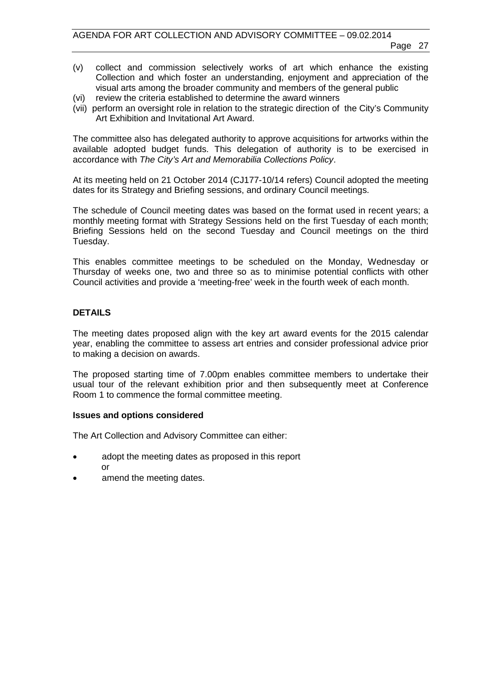- (v) collect and commission selectively works of art which enhance the existing Collection and which foster an understanding, enjoyment and appreciation of the visual arts among the broader community and members of the general public
- (vi) review the criteria established to determine the award winners
- (vii) perform an oversight role in relation to the strategic direction of the City's Community Art Exhibition and Invitational Art Award.

The committee also has delegated authority to approve acquisitions for artworks within the available adopted budget funds. This delegation of authority is to be exercised in accordance with *The City's Art and Memorabilia Collections Policy*.

At its meeting held on 21 October 2014 (CJ177-10/14 refers) Council adopted the meeting dates for its Strategy and Briefing sessions, and ordinary Council meetings.

The schedule of Council meeting dates was based on the format used in recent years; a monthly meeting format with Strategy Sessions held on the first Tuesday of each month; Briefing Sessions held on the second Tuesday and Council meetings on the third Tuesday.

This enables committee meetings to be scheduled on the Monday, Wednesday or Thursday of weeks one, two and three so as to minimise potential conflicts with other Council activities and provide a 'meeting-free' week in the fourth week of each month.

### **DETAILS**

The meeting dates proposed align with the key art award events for the 2015 calendar year, enabling the committee to assess art entries and consider professional advice prior to making a decision on awards.

The proposed starting time of 7.00pm enables committee members to undertake their usual tour of the relevant exhibition prior and then subsequently meet at Conference Room 1 to commence the formal committee meeting.

#### **Issues and options considered**

The Art Collection and Advisory Committee can either:

- adopt the meeting dates as proposed in this report or
- amend the meeting dates.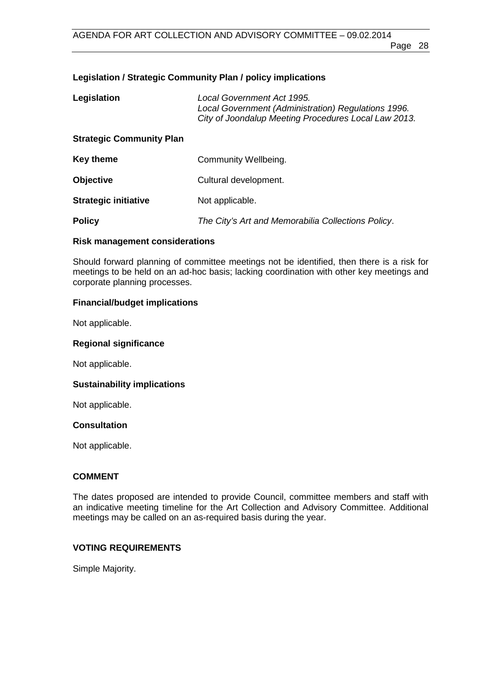# **Legislation / Strategic Community Plan / policy implications**

| Legislation                     | Local Government Act 1995.<br>Local Government (Administration) Regulations 1996.<br>City of Joondalup Meeting Procedures Local Law 2013. |  |
|---------------------------------|-------------------------------------------------------------------------------------------------------------------------------------------|--|
| <b>Strategic Community Plan</b> |                                                                                                                                           |  |
| <b>Key theme</b>                | Community Wellbeing.                                                                                                                      |  |
| <b>Objective</b>                | Cultural development.                                                                                                                     |  |
| <b>Strategic initiative</b>     | Not applicable.                                                                                                                           |  |
| <b>Policy</b>                   | The City's Art and Memorabilia Collections Policy.                                                                                        |  |

#### **Risk management considerations**

Should forward planning of committee meetings not be identified, then there is a risk for meetings to be held on an ad-hoc basis; lacking coordination with other key meetings and corporate planning processes.

### **Financial/budget implications**

Not applicable.

#### **Regional significance**

Not applicable.

### **Sustainability implications**

Not applicable.

#### **Consultation**

Not applicable.

# **COMMENT**

The dates proposed are intended to provide Council, committee members and staff with an indicative meeting timeline for the Art Collection and Advisory Committee. Additional meetings may be called on an as-required basis during the year.

# **VOTING REQUIREMENTS**

Simple Majority.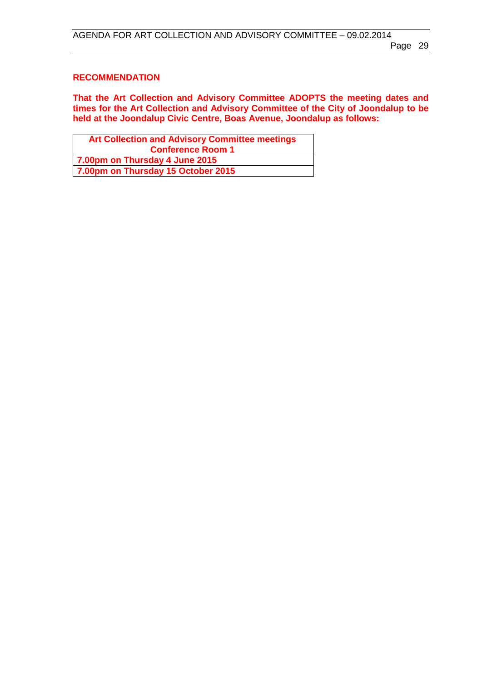# **RECOMMENDATION**

**That the Art Collection and Advisory Committee ADOPTS the meeting dates and times for the Art Collection and Advisory Committee of the City of Joondalup to be held at the Joondalup Civic Centre, Boas Avenue, Joondalup as follows:**

| <b>Art Collection and Advisory Committee meetings</b> |  |  |
|-------------------------------------------------------|--|--|
| <b>Conference Room 1</b>                              |  |  |
| 7.00pm on Thursday 4 June 2015                        |  |  |
| 7.00pm on Thursday 15 October 2015                    |  |  |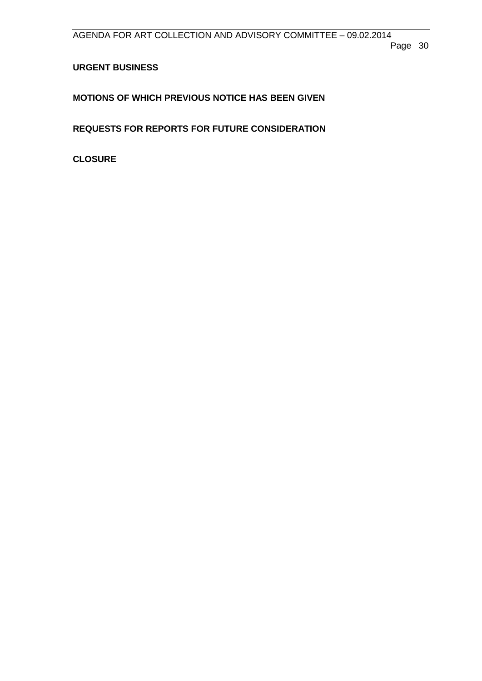# <span id="page-29-0"></span>**URGENT BUSINESS**

<span id="page-29-1"></span>**MOTIONS OF WHICH PREVIOUS NOTICE HAS BEEN GIVEN**

<span id="page-29-2"></span>**REQUESTS FOR REPORTS FOR FUTURE CONSIDERATION**

<span id="page-29-3"></span>**CLOSURE**